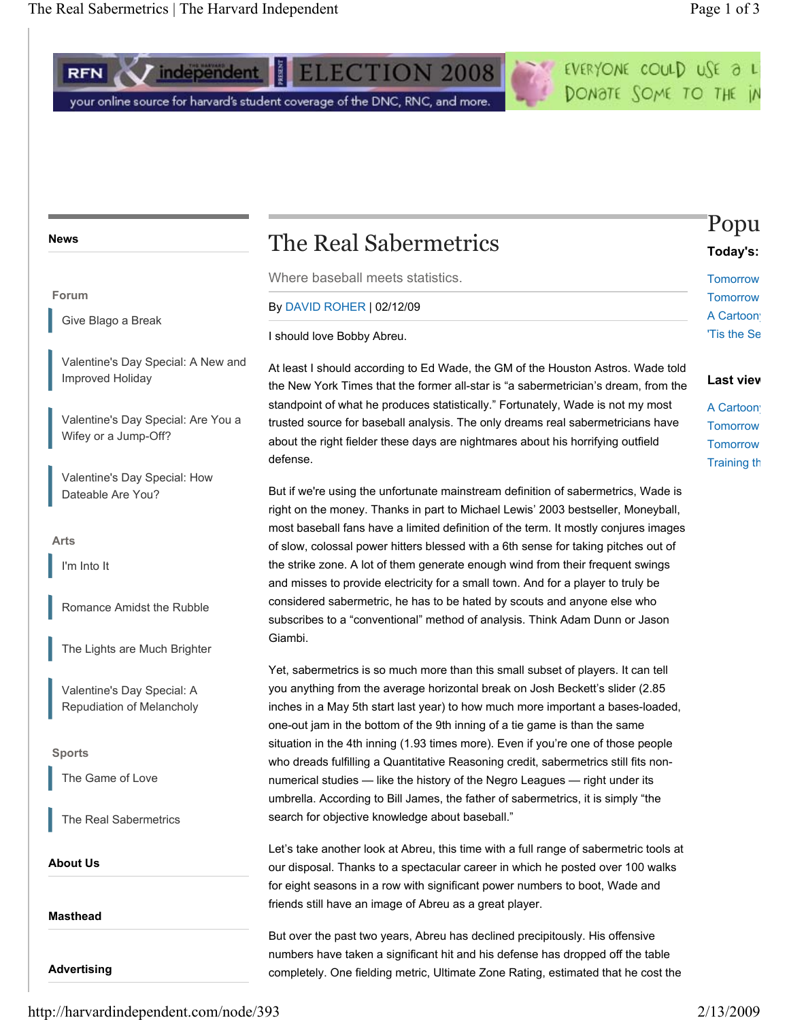### **News**

#### **Forum**

Give Blago a Break

Valentine's Day Special: A New and Improved Holiday

Valentine's Day Special: Are You a Wifey or a Jump-Off?

Valentine's Day Special: How Dateable Are You?

**Arts** 

I'm Into It

Romance Amidst the Rubble

The Lights are Much Brighter

Valentine's Day Special: A Repudiation of Melancholy

## **Sports**

The Game of Love

The Real Sabermetrics

**About Us** 

**Masthead** 

**Advertising** 

# The Real Sabermetrics

Where baseball meets statistics.

### By DAVID ROHER | 02/12/09

I should love Bobby Abreu.

At least I should according to Ed Wade, the GM of the Houston Astros. Wade told the New York Times that the former all-star is "a sabermetrician's dream, from the standpoint of what he produces statistically." Fortunately, Wade is not my most trusted source for baseball analysis. The only dreams real sabermetricians have about the right fielder these days are nightmares about his horrifying outfield defense.

But if we're using the unfortunate mainstream definition of sabermetrics, Wade is right on the money. Thanks in part to Michael Lewis' 2003 bestseller, Moneyball, most baseball fans have a limited definition of the term. It mostly conjures images of slow, colossal power hitters blessed with a 6th sense for taking pitches out of the strike zone. A lot of them generate enough wind from their frequent swings and misses to provide electricity for a small town. And for a player to truly be considered sabermetric, he has to be hated by scouts and anyone else who subscribes to a "conventional" method of analysis. Think Adam Dunn or Jason Giambi.

Yet, sabermetrics is so much more than this small subset of players. It can tell you anything from the average horizontal break on Josh Beckett's slider (2.85 inches in a May 5th start last year) to how much more important a bases-loaded, one-out jam in the bottom of the 9th inning of a tie game is than the same situation in the 4th inning (1.93 times more). Even if you're one of those people who dreads fulfilling a Quantitative Reasoning credit, sabermetrics still fits nonnumerical studies — like the history of the Negro Leagues — right under its umbrella. According to Bill James, the father of sabermetrics, it is simply "the search for objective knowledge about baseball."

Let's take another look at Abreu, this time with a full range of sabermetric tools at our disposal. Thanks to a spectacular career in which he posted over 100 walks for eight seasons in a row with significant power numbers to boot, Wade and friends still have an image of Abreu as a great player.

But over the past two years, Abreu has declined precipitously. His offensive numbers have taken a significant hit and his defense has dropped off the table completely. One fielding metric, Ultimate Zone Rating, estimated that he cost the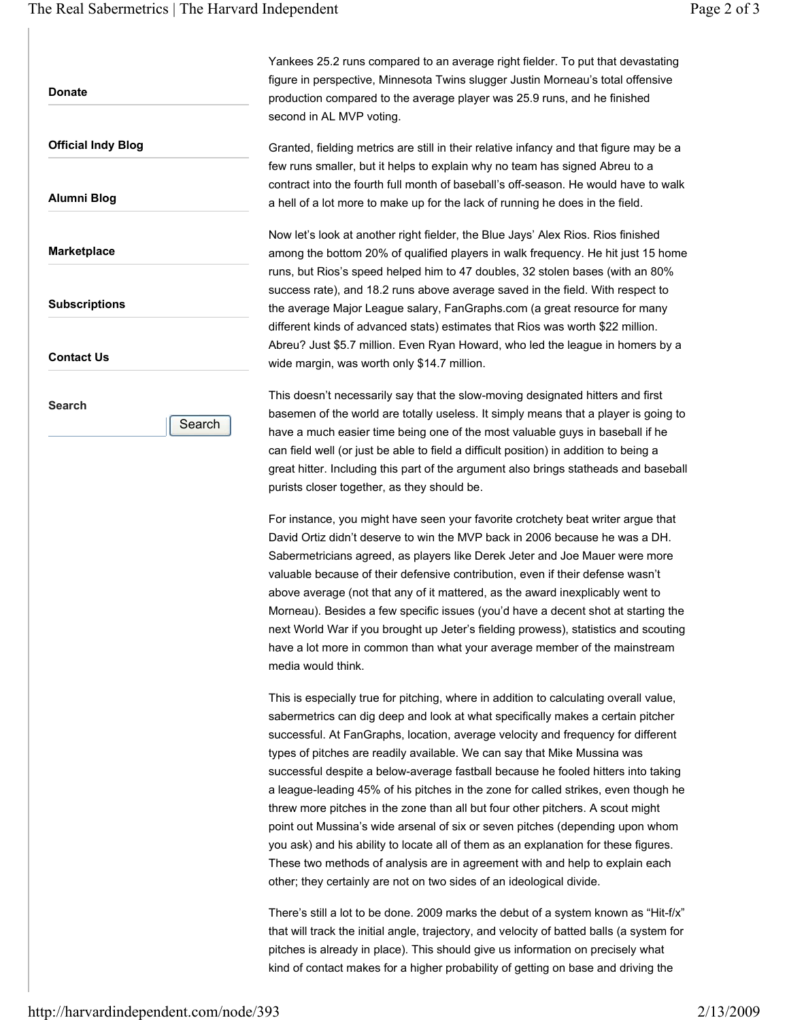**Donate** 

**Official Indy Blog** 

**Alumni Blog** 

**Marketplace** 

**Subscriptions** 

**Contact Us** 

**Search** 

**Search** 

Yankees 25.2 runs compared to an average right fielder. To put that devastating figure in perspective, Minnesota Twins slugger Justin Morneau's total offensive production compared to the average player was 25.9 runs, and he finished second in AL MVP voting.

Granted, fielding metrics are still in their relative infancy and that figure may be a few runs smaller, but it helps to explain why no team has signed Abreu to a contract into the fourth full month of baseball's off-season. He would have to walk a hell of a lot more to make up for the lack of running he does in the field.

Now let's look at another right fielder, the Blue Jays' Alex Rios. Rios finished among the bottom 20% of qualified players in walk frequency. He hit just 15 home runs, but Rios's speed helped him to 47 doubles, 32 stolen bases (with an 80% success rate), and 18.2 runs above average saved in the field. With respect to the average Major League salary, FanGraphs.com (a great resource for many different kinds of advanced stats) estimates that Rios was worth \$22 million. Abreu? Just \$5.7 million. Even Ryan Howard, who led the league in homers by a wide margin, was worth only \$14.7 million.

This doesn't necessarily say that the slow-moving designated hitters and first basemen of the world are totally useless. It simply means that a player is going to have a much easier time being one of the most valuable guys in baseball if he can field well (or just be able to field a difficult position) in addition to being a great hitter. Including this part of the argument also brings statheads and baseball purists closer together, as they should be.

For instance, you might have seen your favorite crotchety beat writer argue that David Ortiz didn't deserve to win the MVP back in 2006 because he was a DH. Sabermetricians agreed, as players like Derek Jeter and Joe Mauer were more valuable because of their defensive contribution, even if their defense wasn't above average (not that any of it mattered, as the award inexplicably went to Morneau). Besides a few specific issues (you'd have a decent shot at starting the next World War if you brought up Jeter's fielding prowess), statistics and scouting have a lot more in common than what your average member of the mainstream media would think.

This is especially true for pitching, where in addition to calculating overall value, sabermetrics can dig deep and look at what specifically makes a certain pitcher successful. At FanGraphs, location, average velocity and frequency for different types of pitches are readily available. We can say that Mike Mussina was successful despite a below-average fastball because he fooled hitters into taking a league-leading 45% of his pitches in the zone for called strikes, even though he threw more pitches in the zone than all but four other pitchers. A scout might point out Mussina's wide arsenal of six or seven pitches (depending upon whom you ask) and his ability to locate all of them as an explanation for these figures. These two methods of analysis are in agreement with and help to explain each other; they certainly are not on two sides of an ideological divide.

There's still a lot to be done. 2009 marks the debut of a system known as "Hit-f/x" that will track the initial angle, trajectory, and velocity of batted balls (a system for pitches is already in place). This should give us information on precisely what kind of contact makes for a higher probability of getting on base and driving the